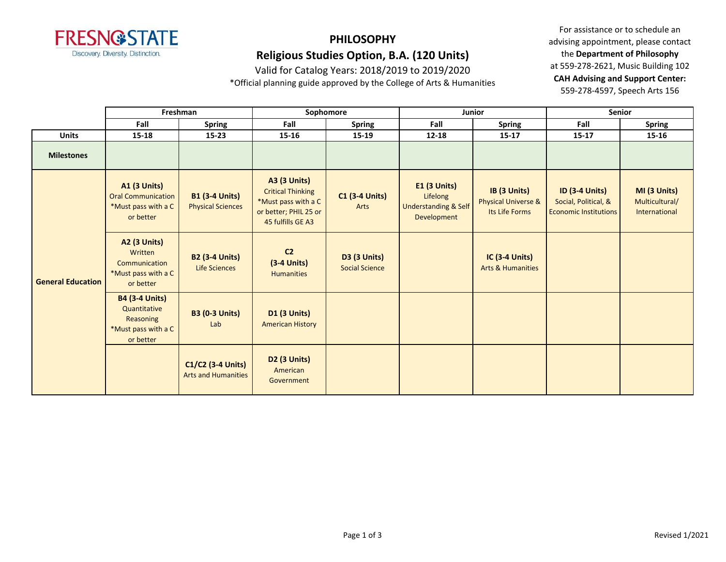

# **PHILOSOPHY**

### **Religious Studies Option, B.A. (120 Units)**

Valid for Catalog Years: 2018/2019 to 2019/2020

\*Official planning guide approved by the College of Arts & Humanities

|                          |                                                                                        | Freshman                                          | Sophomore                                                                                                            |                                              |                                                                                   | Junior                                                | <b>Senior</b>                                                                 |                                                 |
|--------------------------|----------------------------------------------------------------------------------------|---------------------------------------------------|----------------------------------------------------------------------------------------------------------------------|----------------------------------------------|-----------------------------------------------------------------------------------|-------------------------------------------------------|-------------------------------------------------------------------------------|-------------------------------------------------|
|                          | Fall                                                                                   | <b>Spring</b>                                     | Fall                                                                                                                 | <b>Spring</b>                                | Fall                                                                              | Spring                                                | Fall                                                                          | <b>Spring</b>                                   |
| <b>Units</b>             | $15 - 18$                                                                              | $15 - 23$                                         | $15 - 16$                                                                                                            | $15 - 19$                                    | $12 - 18$                                                                         | $15 - 17$                                             | $15 - 17$                                                                     | $15 - 16$                                       |
| <b>Milestones</b>        |                                                                                        |                                                   |                                                                                                                      |                                              |                                                                                   |                                                       |                                                                               |                                                 |
| <b>General Education</b> | <b>A1 (3 Units)</b><br><b>Oral Communication</b><br>*Must pass with a C<br>or better   | <b>B1 (3-4 Units)</b><br><b>Physical Sciences</b> | <b>A3 (3 Units)</b><br><b>Critical Thinking</b><br>*Must pass with a C<br>or better; PHIL 25 or<br>45 fulfills GE A3 | <b>C1 (3-4 Units)</b><br>Arts                | <b>E1 (3 Units)</b><br>Lifelong<br><b>Understanding &amp; Self</b><br>Development | IB (3 Units)<br>Physical Universe &<br>Its Life Forms | <b>ID (3-4 Units)</b><br>Social, Political, &<br><b>Economic Institutions</b> | MI (3 Units)<br>Multicultural/<br>International |
|                          | <b>A2 (3 Units)</b><br>Written<br>Communication<br>*Must pass with a C<br>or better    | <b>B2 (3-4 Units)</b><br><b>Life Sciences</b>     | C <sub>2</sub><br>$(3-4$ Units)<br><b>Humanities</b>                                                                 | <b>D3 (3 Units)</b><br><b>Social Science</b> |                                                                                   | <b>IC (3-4 Units)</b><br><b>Arts &amp; Humanities</b> |                                                                               |                                                 |
|                          | <b>B4 (3-4 Units)</b><br>Quantitative<br>Reasoning<br>*Must pass with a C<br>or better | <b>B3 (0-3 Units)</b><br>Lab                      | <b>D1 (3 Units)</b><br><b>American History</b>                                                                       |                                              |                                                                                   |                                                       |                                                                               |                                                 |
|                          |                                                                                        | C1/C2 (3-4 Units)<br><b>Arts and Humanities</b>   | <b>D2 (3 Units)</b><br>American<br>Government                                                                        |                                              |                                                                                   |                                                       |                                                                               |                                                 |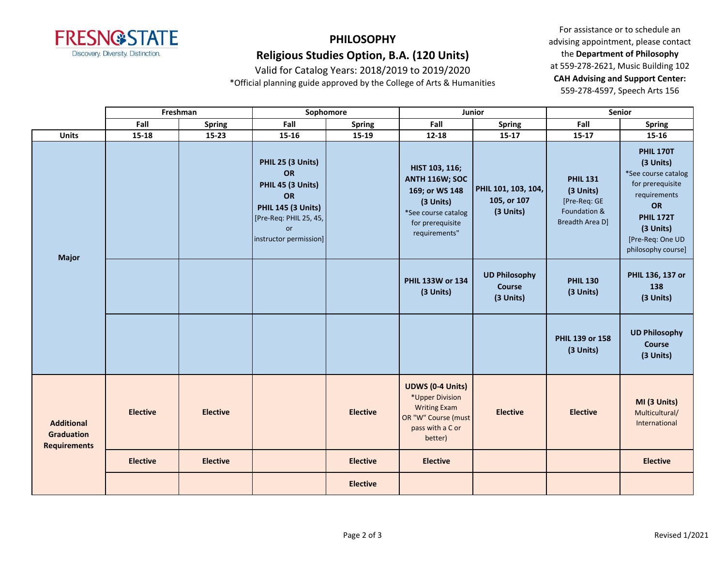

Valid for Catalog Years: 2018/2019 to 2019/2020 \*Official planning guide approved by the College of Arts & Humanities

|                                                               |                 | Freshman<br>Sophomore |                                                                                                                                                         |                 | Junior                                                                                                                             | <b>Senior</b>                                   |                                                                                 |                                                                                                                                                                           |  |
|---------------------------------------------------------------|-----------------|-----------------------|---------------------------------------------------------------------------------------------------------------------------------------------------------|-----------------|------------------------------------------------------------------------------------------------------------------------------------|-------------------------------------------------|---------------------------------------------------------------------------------|---------------------------------------------------------------------------------------------------------------------------------------------------------------------------|--|
|                                                               | Fall            | <b>Spring</b>         | Fall                                                                                                                                                    | Spring          | Fall                                                                                                                               | <b>Spring</b>                                   | Fall                                                                            | <b>Spring</b>                                                                                                                                                             |  |
| <b>Units</b>                                                  | $15 - 18$       | $15 - 23$             | $15 - 16$                                                                                                                                               | $15 - 19$       | $12 - 18$                                                                                                                          | $15 - 17$                                       | $15-17$                                                                         | $15 - 16$                                                                                                                                                                 |  |
| <b>Major</b>                                                  |                 |                       | PHIL 25 (3 Units)<br><b>OR</b><br>PHIL 45 (3 Units)<br><b>OR</b><br><b>PHIL 145 (3 Units)</b><br>[Pre-Req: PHIL 25, 45,<br>or<br>instructor permission] |                 | HIST 103, 116;<br><b>ANTH 116W; SOC</b><br>169; or WS 148<br>(3 Units)<br>*See course catalog<br>for prerequisite<br>requirements" | PHIL 101, 103, 104,<br>105, or 107<br>(3 Units) | <b>PHIL 131</b><br>(3 Units)<br>[Pre-Req: GE<br>Foundation &<br>Breadth Area D] | <b>PHIL 170T</b><br>(3 Units)<br>*See course catalog<br>for prerequisite<br>requirements<br>OR<br><b>PHIL 172T</b><br>(3 Units)<br>[Pre-Req: One UD<br>philosophy course] |  |
|                                                               |                 |                       |                                                                                                                                                         |                 | PHIL 133W or 134<br>(3 Units)                                                                                                      | <b>UD Philosophy</b><br>Course<br>(3 Units)     | <b>PHIL 130</b><br>(3 Units)                                                    | PHIL 136, 137 or<br>138<br>(3 Units)                                                                                                                                      |  |
|                                                               |                 |                       |                                                                                                                                                         |                 |                                                                                                                                    |                                                 | PHIL 139 or 158<br>(3 Units)                                                    | <b>UD Philosophy</b><br><b>Course</b><br>(3 Units)                                                                                                                        |  |
| <b>Additional</b><br><b>Graduation</b><br><b>Requirements</b> | <b>Elective</b> | <b>Elective</b>       |                                                                                                                                                         | <b>Elective</b> | <b>UDWS (0-4 Units)</b><br>*Upper Division<br><b>Writing Exam</b><br>OR "W" Course (must<br>pass with a C or<br>better)            | <b>Elective</b>                                 | <b>Elective</b>                                                                 | MI (3 Units)<br>Multicultural/<br>International                                                                                                                           |  |
|                                                               | <b>Elective</b> | <b>Elective</b>       |                                                                                                                                                         | <b>Elective</b> | <b>Elective</b>                                                                                                                    |                                                 |                                                                                 | <b>Elective</b>                                                                                                                                                           |  |
|                                                               |                 |                       |                                                                                                                                                         | <b>Elective</b> |                                                                                                                                    |                                                 |                                                                                 |                                                                                                                                                                           |  |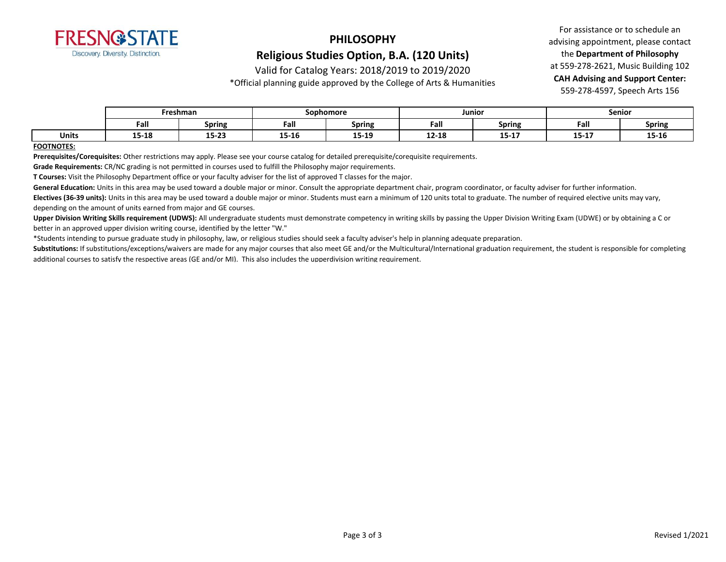

#### Valid for Catalog Years: 2018/2019 to 2019/2020

\*Official planning guide approved by the College of Arts & Humanities

For assistance or to schedule an advising appointment, please contact the **Department of Philosophy** at 559-278-2621, Music Building 102 **CAH Advising and Support Center:**  559-278-4597, Speech Arts 156

|              | Freshman |               | Sophomore |               | Junior    |                  | <b>Senior</b> |               |
|--------------|----------|---------------|-----------|---------------|-----------|------------------|---------------|---------------|
|              | Fall     | <b>Spring</b> | Fall      | <b>Spring</b> | Fall      | <b>Spring</b>    | Fall          | <b>Spring</b> |
| <b>Units</b> | 15-18    | 15-23         | 15-16     | 15-19         | $12 - 18$ | 4.5.4.7<br>13-T) | 15-17         | 15-16         |

#### **FOOTNOTES:**

**Prerequisites/Corequisites:** Other restrictions may apply. Please see your course catalog for detailed prerequisite/corequisite requirements.

**Grade Requirements:** CR/NC grading is not permitted in courses used to fulfill the Philosophy major requirements.

**T Courses:** Visit the Philosophy Department office or your faculty adviser for the list of approved T classes for the major.

General Education: Units in this area may be used toward a double major or minor. Consult the appropriate department chair, program coordinator, or faculty adviser for further information.

**Electives (36-39 units):** Units in this area may be used toward a double major or minor. Students must earn a minimum of 120 units total to graduate. The number of required elective units may vary, depending on the amount of units earned from major and GE courses.

**Upper Division Writing Skills requirement (UDWS):** All undergraduate students must demonstrate competency in writing skills by passing the Upper Division Writing Exam (UDWE) or by obtaining a C or better in an approved upper division writing course, identified by the letter "W."

\*Students intending to pursue graduate study in philosophy, law, or religious studies should seek a faculty adviser's help in planning adequate preparation.

Substitutions: If substitutions/exceptions/waivers are made for any major courses that also meet GE and/or the Multicultural/International graduation requirement, the student is responsible for completing additional courses to satisfy the respective areas (GE and/or MI). This also includes the upperdivision writing requirement.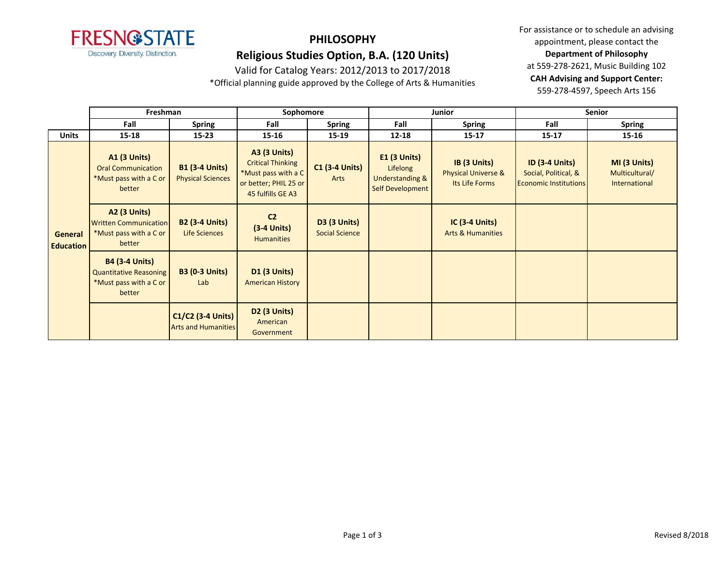

Valid for Catalog Years: 2012/2013 to 2017/2018

\*Official planning guide approved by the College of Arts & Humanities

|                             | Freshman                                                                                   |                                                   | Sophomore                                                                                                            |                                              |                                                                              | Junior                                                           | <b>Senior</b>                                                                 |                                                 |
|-----------------------------|--------------------------------------------------------------------------------------------|---------------------------------------------------|----------------------------------------------------------------------------------------------------------------------|----------------------------------------------|------------------------------------------------------------------------------|------------------------------------------------------------------|-------------------------------------------------------------------------------|-------------------------------------------------|
|                             | Fall                                                                                       | <b>Spring</b>                                     | Fall                                                                                                                 | <b>Spring</b>                                | Fall                                                                         | <b>Spring</b>                                                    | Fall                                                                          | <b>Spring</b>                                   |
| <b>Units</b>                | $15 - 18$                                                                                  | $15 - 23$                                         | 15-16                                                                                                                | 15-19                                        | $12 - 18$                                                                    | $15 - 17$                                                        | $15 - 17$                                                                     | 15-16                                           |
| General<br><b>Education</b> | <b>A1 (3 Units)</b><br><b>Oral Communication</b><br>*Must pass with a C or<br>better       | <b>B1 (3-4 Units)</b><br><b>Physical Sciences</b> | <b>A3 (3 Units)</b><br><b>Critical Thinking</b><br>*Must pass with a C<br>or better; PHIL 25 or<br>45 fulfills GE A3 | <b>C1 (3-4 Units)</b><br>Arts                | $E1$ (3 Units)<br>Lifelong<br><b>Understanding &amp;</b><br>Self Development | IB (3 Units)<br><b>Physical Universe &amp;</b><br>Its Life Forms | <b>ID (3-4 Units)</b><br>Social, Political, &<br><b>Economic Institutions</b> | MI (3 Units)<br>Multicultural/<br>International |
|                             | <b>A2 (3 Units)</b><br><b>Written Communication</b><br>*Must pass with a C or<br>better    | <b>B2 (3-4 Units)</b><br>Life Sciences            | C <sub>2</sub><br>$(3-4$ Units)<br><b>Humanities</b>                                                                 | <b>D3 (3 Units)</b><br><b>Social Science</b> |                                                                              | IC $(3-4$ Units)<br><b>Arts &amp; Humanities</b>                 |                                                                               |                                                 |
|                             | <b>B4 (3-4 Units)</b><br><b>Quantitative Reasoning</b><br>*Must pass with a C or<br>better | <b>B3 (0-3 Units)</b><br>Lab                      | <b>D1 (3 Units)</b><br><b>American History</b>                                                                       |                                              |                                                                              |                                                                  |                                                                               |                                                 |
|                             |                                                                                            | C1/C2 (3-4 Units)<br><b>Arts and Humanities</b>   | <b>D2 (3 Units)</b><br>American<br>Government                                                                        |                                              |                                                                              |                                                                  |                                                                               |                                                 |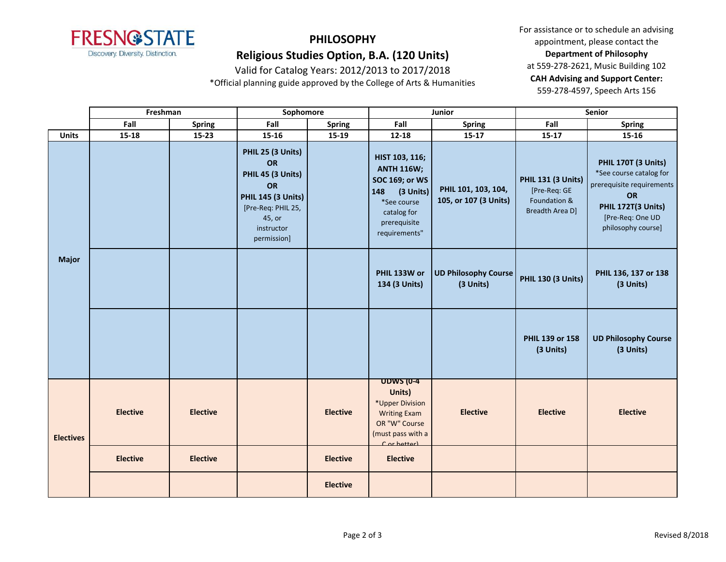

Valid for Catalog Years: 2012/2013 to 2017/2018

\*Official planning guide approved by the College of Arts & Humanities

|                  | Freshman        |                 | Sophomore                                                                                                                                           |                 |                                                                                                                                                   | Junior                                       | Senior                                                                              |                                                                                                                                                   |
|------------------|-----------------|-----------------|-----------------------------------------------------------------------------------------------------------------------------------------------------|-----------------|---------------------------------------------------------------------------------------------------------------------------------------------------|----------------------------------------------|-------------------------------------------------------------------------------------|---------------------------------------------------------------------------------------------------------------------------------------------------|
|                  | Fall            | <b>Spring</b>   | Fall                                                                                                                                                | <b>Spring</b>   | Fall                                                                                                                                              | <b>Spring</b>                                | Fall                                                                                | <b>Spring</b>                                                                                                                                     |
| <b>Units</b>     | $15 - 18$       | $15 - 23$       | $15 - 16$                                                                                                                                           | $15-19$         | $12 - 18$                                                                                                                                         | $15-17$                                      | $15-17$                                                                             | $15 - 16$                                                                                                                                         |
| <b>Major</b>     |                 |                 | PHIL 25 (3 Units)<br><b>OR</b><br>PHIL 45 (3 Units)<br>OR<br><b>PHIL 145 (3 Units)</b><br>[Pre-Req: PHIL 25,<br>45, or<br>instructor<br>permission] |                 | HIST 103, 116;<br><b>ANTH 116W;</b><br><b>SOC 169; or WS</b><br>148<br>$(3$ Units)<br>*See course<br>catalog for<br>prerequisite<br>requirements" | PHIL 101, 103, 104,<br>105, or 107 (3 Units) | <b>PHIL 131 (3 Units)</b><br>[Pre-Req: GE<br>Foundation &<br><b>Breadth Area D]</b> | PHIL 170T (3 Units)<br>*See course catalog for<br>prerequisite requirements<br>OR<br>PHIL 172T(3 Units)<br>[Pre-Req: One UD<br>philosophy course] |
|                  |                 |                 |                                                                                                                                                     |                 | PHIL 133W or<br>134 (3 Units)                                                                                                                     | <b>UD Philosophy Course</b><br>(3 Units)     | <b>PHIL 130 (3 Units)</b>                                                           | PHIL 136, 137 or 138<br>(3 Units)                                                                                                                 |
|                  |                 |                 |                                                                                                                                                     |                 |                                                                                                                                                   |                                              | PHIL 139 or 158<br>(3 Units)                                                        | <b>UD Philosophy Course</b><br>(3 Units)                                                                                                          |
| <b>Electives</b> | <b>Elective</b> | <b>Elective</b> |                                                                                                                                                     | <b>Elective</b> | <b>UDWS (0-4</b><br>Units)<br>*Upper Division<br><b>Writing Exam</b><br>OR "W" Course<br>(must pass with a<br>Cor hetter)                         | <b>Elective</b>                              | <b>Elective</b>                                                                     | <b>Elective</b>                                                                                                                                   |
|                  | <b>Elective</b> | <b>Elective</b> |                                                                                                                                                     | <b>Elective</b> | <b>Elective</b>                                                                                                                                   |                                              |                                                                                     |                                                                                                                                                   |
|                  |                 |                 |                                                                                                                                                     | <b>Elective</b> |                                                                                                                                                   |                                              |                                                                                     |                                                                                                                                                   |